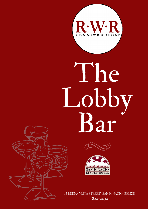

# The Lobby Bar





18 BUENA VISTA STREET, SAN IGNACIO, BELIZE 824-2034

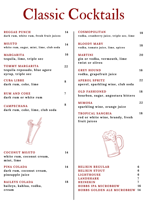### Classic Cocktails

| <b>REGGAE PUNCH</b><br>dark rum, white rum, fresh fruit juices              | 14 |
|-----------------------------------------------------------------------------|----|
| <b>MOJITO</b><br>white rum, sugar, mint, lime, club soda                    | 14 |
| <b>MARGARITA</b><br>tequila, lime, triple sec                               | 16 |
| <b>TOMMY MARGARITA</b><br>tequila reposado, blue agave<br>syrup, triple sec | 22 |
| <b>CUBALIBRE</b><br>dark rum, coke, lime                                    | 8  |
| <b>RUM AND COKE</b><br>dark rum or white rum                                | 7  |
| <b>CAMPECHANA</b><br>dark rum, coke, lime, club soda                        | 8  |
|                                                                             |    |
| <b>COCONUT MOJITO</b><br>white rum, coconut cream,<br>mint, lime            | 14 |
| PINA COLADA<br>dark rum, coconut cream,<br>pineapple juice                  | 14 |
| <b>BAILEYS COLADA</b><br>baileys, kahlua, vodka,<br>cream                   | 18 |

| COSMOPOLITAN<br>vodka, cranberry juice, triple sec, lime             | 18 |
|----------------------------------------------------------------------|----|
| <b>BLOODY MARY</b><br>vodka, tomato juice, lime, spices              | 18 |
| <b>MARTINI</b><br>gin or vodka, vermouth, lime<br>twist or olives    | 20 |
| <b>GREY HOUND</b><br>vodka, grapefruit juice                         | 16 |
| <b>APEROL SPRITZ</b><br>aperol, sparkling wine, club soda            | 22 |
| <b>OLD FASHIONED</b><br>bourbon, sugar, angostura bitters            | 18 |
| <b>MIMOSA</b><br>sparkling wine, orange juice                        | 22 |
| TROPICAL SANGRIA<br>red or white wine, brandy, fresh<br>fruit juices | 18 |
|                                                                      |    |

| <b>BELIKIN REGULAR</b>            | 6  |
|-----------------------------------|----|
| <b>BELIKIN STOUT</b>              | 6  |
| LIGHTHOUSE                        | 6  |
| LANDSHARK                         |    |
| <b>HEINEKIN</b>                   |    |
| <b>HOBBS IPA MICROBREW</b>        | 16 |
| <b>HOBBS GOLDEN ALE MICROBREW</b> | 14 |